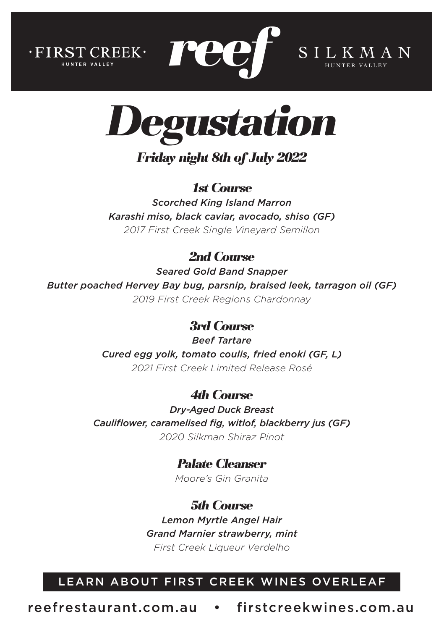



**REEF** SILKMAN

*Friday night 8th of July 2022*

*1st Course*

*Scorched King Island Marron Karashi miso, black caviar, avocado, shiso (GF) 2017 First Creek Single Vineyard Semillon*

# *2nd Course*

*Seared Gold Band Snapper Butter poached Hervey Bay bug, parsnip, braised leek, tarragon oil (GF) 2019 First Creek Regions Chardonnay*

### *3rd Course*

*Beef Tartare Cured egg yolk, tomato coulis, fried enoki (GF, L) 2021 First Creek Limited Release Rosé*

### *4th Course*

*Dry-Aged Duck Breast Cauliflower, caramelised fig, witlof, blackberry jus (GF) 2020 Silkman Shiraz Pinot*

*Palate Cleanser*

*Moore's Gin Granita* 

## *5th Course*

*Lemon Myrtle Angel Hair Grand Marnier strawberry, mint First Creek Liqueur Verdelho*

### LEARN ABOUT FIRST CREEK WINES OVERLEAF

reefrestaurant.com.au • firstcreekwines.com.au